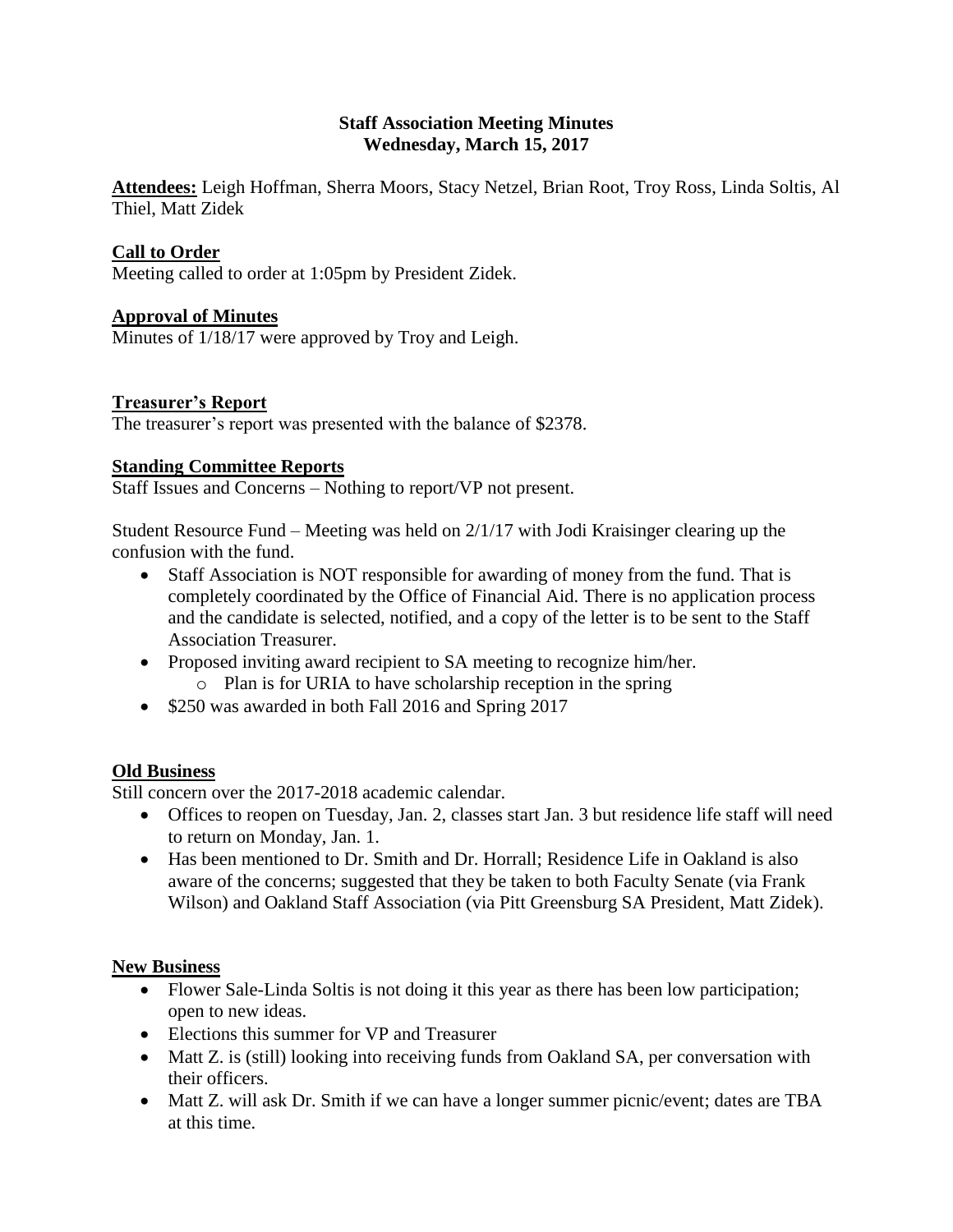## **Staff Association Meeting Minutes Wednesday, March 15, 2017**

**Attendees:** Leigh Hoffman, Sherra Moors, Stacy Netzel, Brian Root, Troy Ross, Linda Soltis, Al Thiel, Matt Zidek

# **Call to Order**

Meeting called to order at 1:05pm by President Zidek.

## **Approval of Minutes**

Minutes of 1/18/17 were approved by Troy and Leigh.

## **Treasurer's Report**

The treasurer's report was presented with the balance of \$2378.

## **Standing Committee Reports**

Staff Issues and Concerns – Nothing to report/VP not present.

Student Resource Fund – Meeting was held on 2/1/17 with Jodi Kraisinger clearing up the confusion with the fund.

- Staff Association is NOT responsible for awarding of money from the fund. That is completely coordinated by the Office of Financial Aid. There is no application process and the candidate is selected, notified, and a copy of the letter is to be sent to the Staff Association Treasurer.
- Proposed inviting award recipient to SA meeting to recognize him/her. o Plan is for URIA to have scholarship reception in the spring
- \$250 was awarded in both Fall 2016 and Spring 2017

# **Old Business**

Still concern over the 2017-2018 academic calendar.

- Offices to reopen on Tuesday, Jan. 2, classes start Jan. 3 but residence life staff will need to return on Monday, Jan. 1.
- Has been mentioned to Dr. Smith and Dr. Horrall; Residence Life in Oakland is also aware of the concerns; suggested that they be taken to both Faculty Senate (via Frank Wilson) and Oakland Staff Association (via Pitt Greensburg SA President, Matt Zidek).

# **New Business**

- Flower Sale-Linda Soltis is not doing it this year as there has been low participation; open to new ideas.
- Elections this summer for VP and Treasurer
- Matt Z. is (still) looking into receiving funds from Oakland SA, per conversation with their officers.
- Matt Z. will ask Dr. Smith if we can have a longer summer picnic/event; dates are TBA at this time.